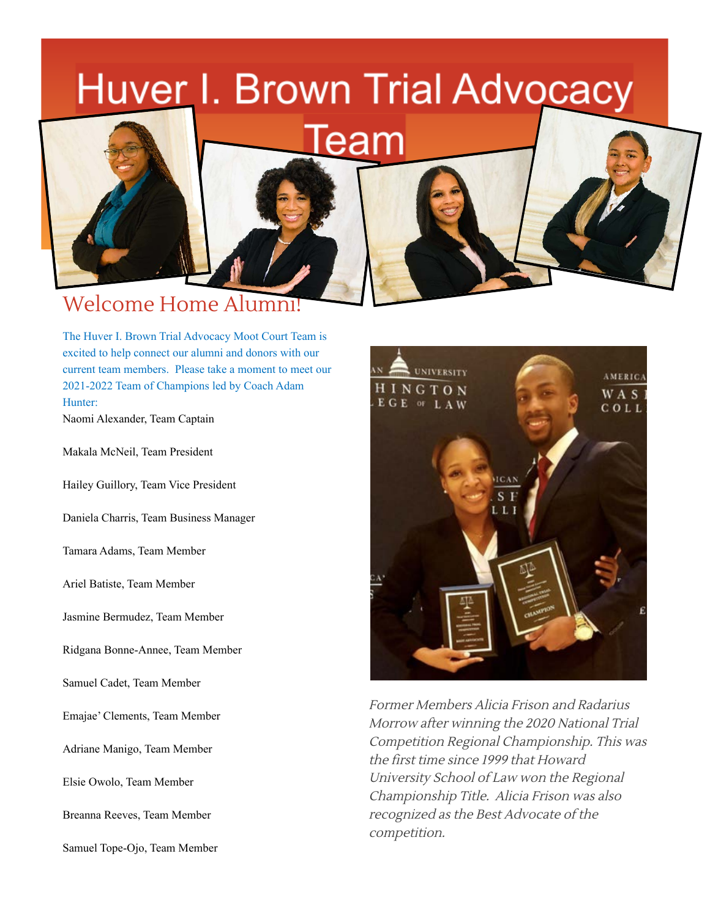

The Huver I. Brown Trial Advocacy Moot Court Team is excited to help connect our alumni and donors with our current team members. Please take a moment to meet our 2021-2022 Team of Champions led by Coach Adam Hunter:

Naomi Alexander, Team Captain

Makala McNeil, Team President

Hailey Guillory, Team Vice President

Daniela Charris, Team Business Manager

Tamara Adams, Team Member

Ariel Batiste, Team Member

Jasmine Bermudez, Team Member

Ridgana Bonne-Annee, Team Member

Samuel Cadet, Team Member

Emajae' Clements, Team Member

Adriane Manigo, Team Member

Elsie Owolo, Team Member

Breanna Reeves, Team Member

Samuel Tope-Ojo, Team Member



Former Members Alicia Frison and Radarius Morrow after winning the 2020 National Trial Competition Regional Championship. This was the first time since 1999 that Howard University School of Law won the Regional Championship Title. Alicia Frison was also recognized as the Best Advocate of the competition.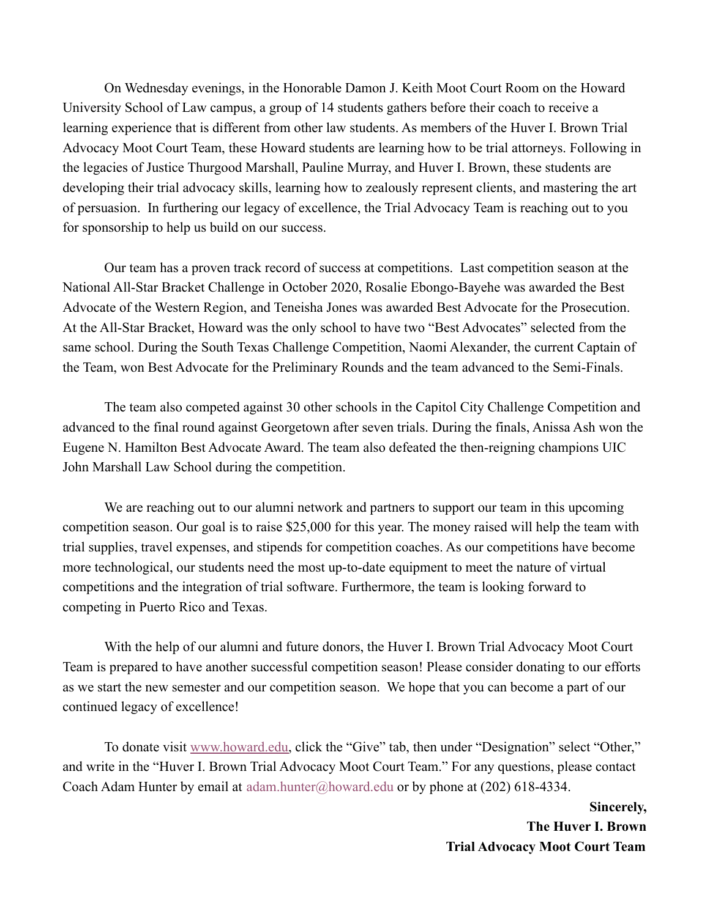On Wednesday evenings, in the Honorable Damon J. Keith Moot Court Room on the Howard University School of Law campus, a group of 14 students gathers before their coach to receive a learning experience that is different from other law students. As members of the Huver I. Brown Trial Advocacy Moot Court Team, these Howard students are learning how to be trial attorneys. Following in the legacies of Justice Thurgood Marshall, Pauline Murray, and Huver I. Brown, these students are developing their trial advocacy skills, learning how to zealously represent clients, and mastering the art of persuasion. In furthering our legacy of excellence, the Trial Advocacy Team is reaching out to you for sponsorship to help us build on our success.

Our team has a proven track record of success at competitions. Last competition season at the National All-Star Bracket Challenge in October 2020, Rosalie Ebongo-Bayehe was awarded the Best Advocate of the Western Region, and Teneisha Jones was awarded Best Advocate for the Prosecution. At the All-Star Bracket, Howard was the only school to have two "Best Advocates" selected from the same school. During the South Texas Challenge Competition, Naomi Alexander, the current Captain of the Team, won Best Advocate for the Preliminary Rounds and the team advanced to the Semi-Finals.

The team also competed against 30 other schools in the Capitol City Challenge Competition and advanced to the final round against Georgetown after seven trials. During the finals, Anissa Ash won the Eugene N. Hamilton Best Advocate Award. The team also defeated the then-reigning champions UIC John Marshall Law School during the competition.

We are reaching out to our alumni network and partners to support our team in this upcoming competition season. Our goal is to raise \$25,000 for this year. The money raised will help the team with trial supplies, travel expenses, and stipends for competition coaches. As our competitions have become more technological, our students need the most up-to-date equipment to meet the nature of virtual competitions and the integration of trial software. Furthermore, the team is looking forward to competing in Puerto Rico and Texas.

With the help of our alumni and future donors, the Huver I. Brown Trial Advocacy Moot Court Team is prepared to have another successful competition season! Please consider donating to our efforts as we start the new semester and our competition season. We hope that you can become a part of our continued legacy of excellence!

To donate visit [www.howard.edu,](http://www.howard.edu/) click the "Give" tab, then under "Designation" select "Other," and write in the "Huver I. Brown Trial Advocacy Moot Court Team." For any questions, please contact Coach Adam Hunter by email at adam.hunter@howard.edu or by phone at (202) 618-4334.

> **Sincerely, The Huver I. Brown Trial Advocacy Moot Court Team**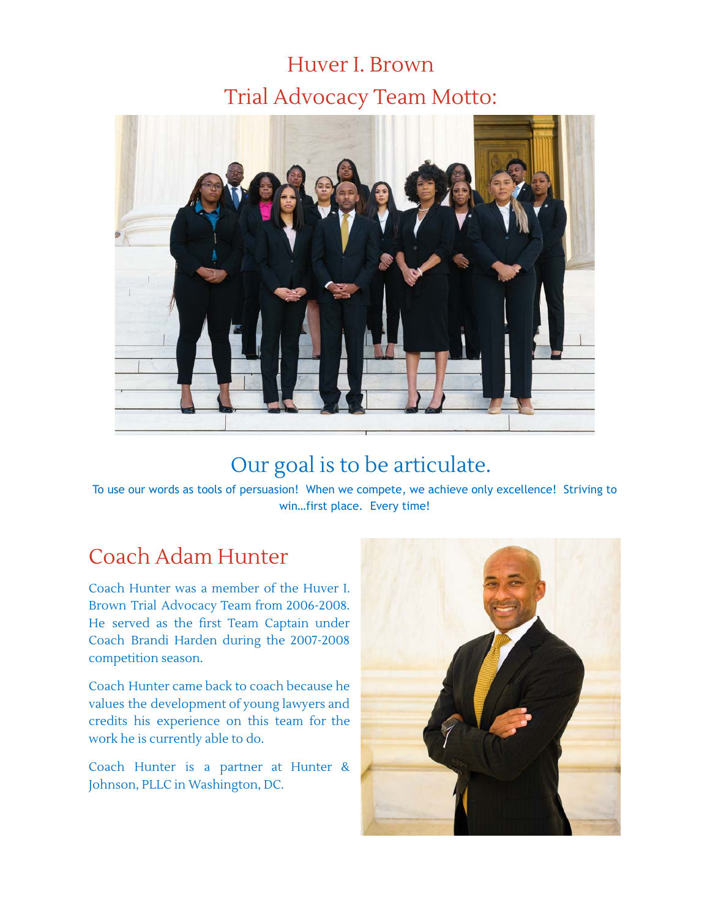# Huver I. Brown Trial Advocacy Team Motto:



# Our goal is to be articulate.

To use our words as tools of persuasion! When we compete, we achieve only excellence! Striving to win…first place. Every time!

### Coach Adam Hunter

Coach Hunter was a member of the Huver I. Brown Trial Advocacy Team from 2006-2008. He served as the first Team Captain under Coach Brandi Harden during the 2007-2008 competition season.

Coach Hunter came back to coach because he values the development of young lawyers and credits his experience on this team for the work he is currently able to do.

Coach Hunter is a partner at Hunter & Johnson, PLLC in Washington, DC.

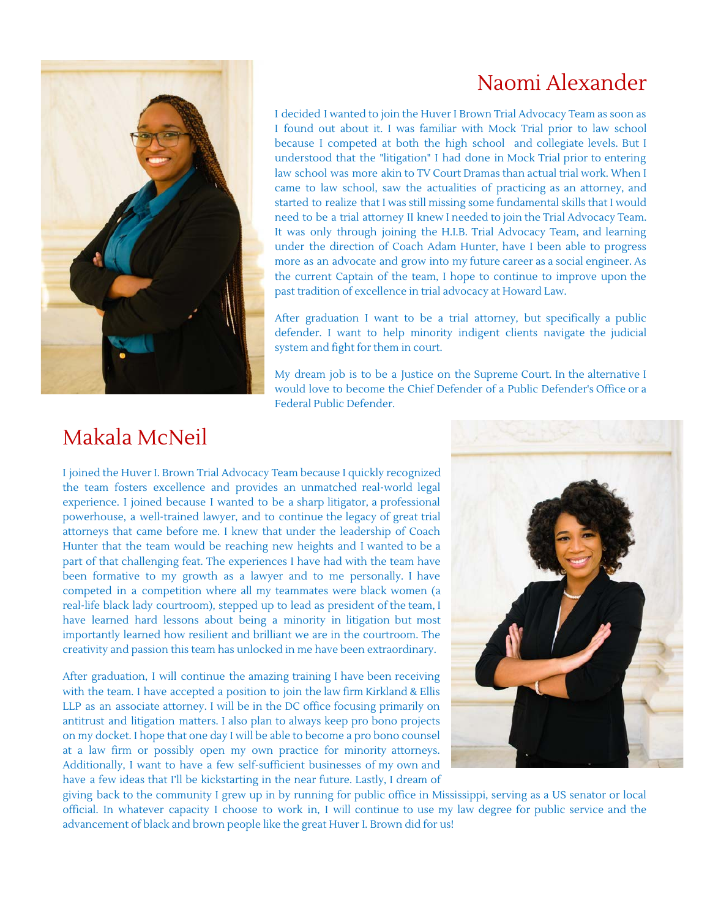### Naomi Alexander



I decided I wanted to join the Huver I Brown Trial Advocacy Team as soon as I found out about it. I was familiar with Mock Trial prior to law school because I competed at both the high school and collegiate levels. But I understood that the "litigation" I had done in Mock Trial prior to entering law school was more akin to TV Court Dramas than actual trial work. When I came to law school, saw the actualities of practicing as an attorney, and started to realize that I was still missing some fundamental skills that I would need to be a trial attorney II knew I needed to join the Trial Advocacy Team. It was only through joining the H.I.B. Trial Advocacy Team, and learning under the direction of Coach Adam Hunter, have I been able to progress more as an advocate and grow into my future career as a social engineer. As the current Captain of the team, I hope to continue to improve upon the past tradition of excellence in trial advocacy at Howard Law.

After graduation I want to be a trial attorney, but specifically a public defender. I want to help minority indigent clients navigate the judicial system and fight for them in court.

My dream job is to be a Justice on the Supreme Court. In the alternative I would love to become the Chief Defender of a Public Defender's Office or a Federal Public Defender.

### Makala McNeil

I joined the Huver I. Brown Trial Advocacy Team because I quickly recognized the team fosters excellence and provides an unmatched real-world legal experience. I joined because I wanted to be a sharp litigator, a professional powerhouse, a well-trained lawyer, and to continue the legacy of great trial attorneys that came before me. I knew that under the leadership of Coach Hunter that the team would be reaching new heights and I wanted to be a part of that challenging feat. The experiences I have had with the team have been formative to my growth as a lawyer and to me personally. I have competed in a competition where all my teammates were black women (a real-life black lady courtroom), stepped up to lead as president of the team, I have learned hard lessons about being a minority in litigation but most importantly learned how resilient and brilliant we are in the courtroom. The creativity and passion this team has unlocked in me have been extraordinary.

After graduation, I will continue the amazing training I have been receiving with the team. I have accepted a position to join the law firm Kirkland & Ellis LLP as an associate attorney. I will be in the DC office focusing primarily on antitrust and litigation matters. I also plan to always keep pro bono projects on my docket. I hope that one day I will be able to become a pro bono counsel at a law firm or possibly open my own practice for minority attorneys. Additionally, I want to have a few self-sufficient businesses of my own and have a few ideas that I'll be kickstarting in the near future. Lastly, I dream of



giving back to the community I grew up in by running for public office in Mississippi, serving as a US senator or local official. In whatever capacity I choose to work in, I will continue to use my law degree for public service and the advancement of black and brown people like the great Huver I. Brown did for us!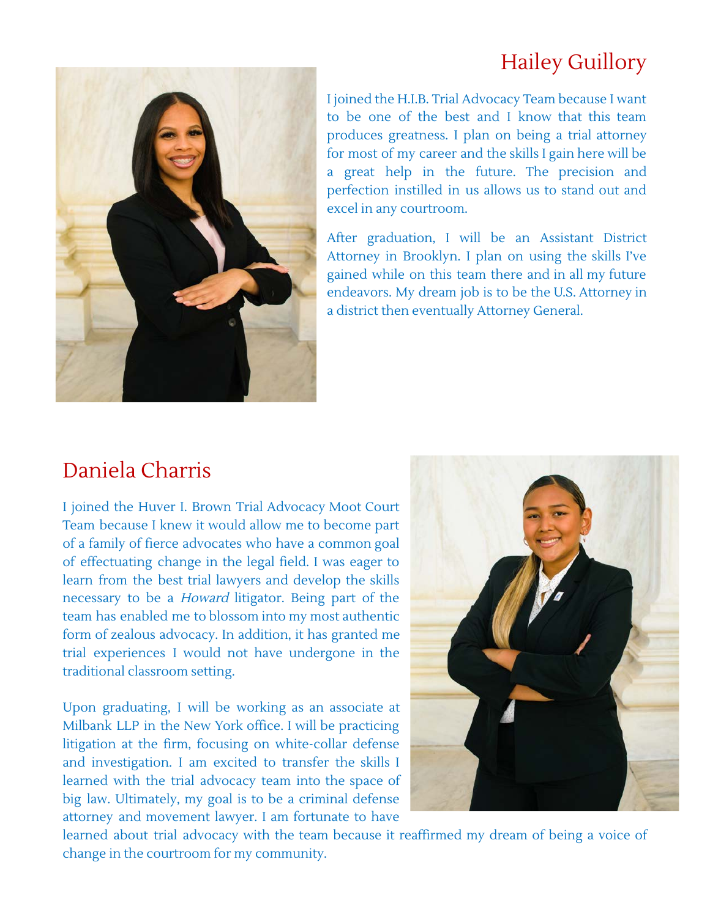### Hailey Guillory



I joined the H.I.B. Trial Advocacy Team because I want to be one of the best and I know that this team produces greatness. I plan on being a trial attorney for most of my career and the skills I gain here will be a great help in the future. The precision and perfection instilled in us allows us to stand out and excel in any courtroom.

After graduation, I will be an Assistant District Attorney in Brooklyn. I plan on using the skills I've gained while on this team there and in all my future endeavors. My dream job is to be the U.S. Attorney in a district then eventually Attorney General.

#### Daniela Charris

I joined the Huver I. Brown Trial Advocacy Moot Court Team because I knew it would allow me to become part of a family of fierce advocates who have a common goal of effectuating change in the legal field. I was eager to learn from the best trial lawyers and develop the skills necessary to be a Howard litigator. Being part of the team has enabled me to blossom into my most authentic form of zealous advocacy. In addition, it has granted me trial experiences I would not have undergone in the traditional classroom setting.

Upon graduating, I will be working as an associate at Milbank LLP in the New York office. I will be practicing litigation at the firm, focusing on white-collar defense and investigation. I am excited to transfer the skills I learned with the trial advocacy team into the space of big law. Ultimately, my goal is to be a criminal defense attorney and movement lawyer. I am fortunate to have



learned about trial advocacy with the team because it reaffirmed my dream of being a voice of change in the courtroom for my community.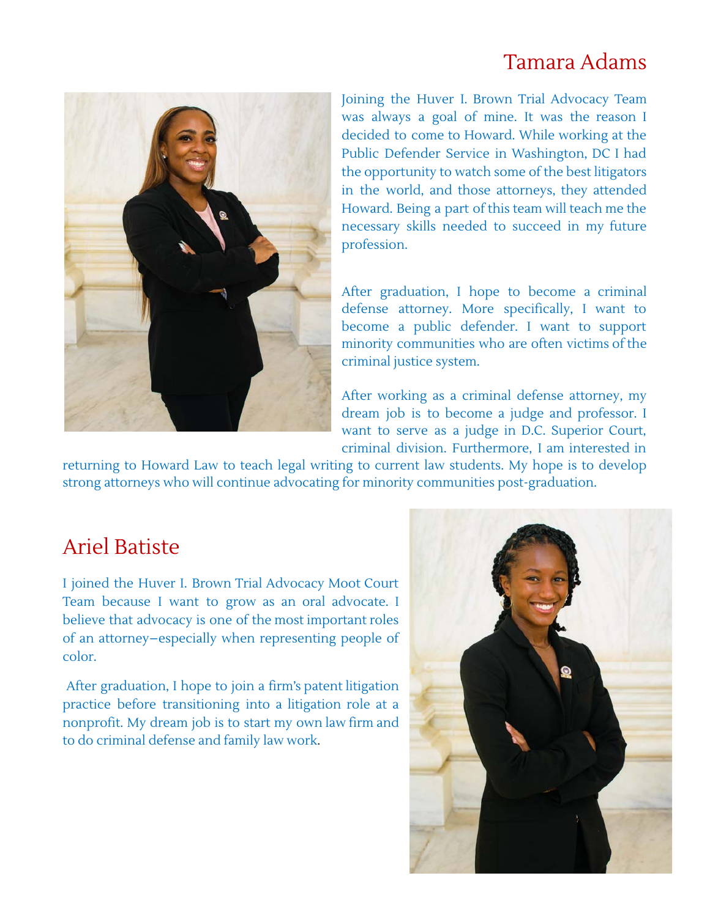#### Tamara Adams



Joining the Huver I. Brown Trial Advocacy Team was always a goal of mine. It was the reason I decided to come to Howard. While working at the Public Defender Service in Washington, DC I had the opportunity to watch some of the best litigators in the world, and those attorneys, they attended Howard. Being a part of this team will teach me the necessary skills needed to succeed in my future profession.

After graduation, I hope to become a criminal defense attorney. More specifically, I want to become a public defender. I want to support minority communities who are often victims of the criminal justice system.

After working as a criminal defense attorney, my dream job is to become a judge and professor. I want to serve as a judge in D.C. Superior Court, criminal division. Furthermore, I am interested in

returning to Howard Law to teach legal writing to current law students. My hope is to develop strong attorneys who will continue advocating for minority communities post-graduation.

#### Ariel Batiste

I joined the Huver I. Brown Trial Advocacy Moot Court Team because I want to grow as an oral advocate. I believe that advocacy is one of the most important roles of an attorney–especially when representing people of color.

After graduation, I hope to join a firm's patent litigation practice before transitioning into a litigation role at a nonprofit. My dream job is to start my own law firm and to do criminal defense and family law work.

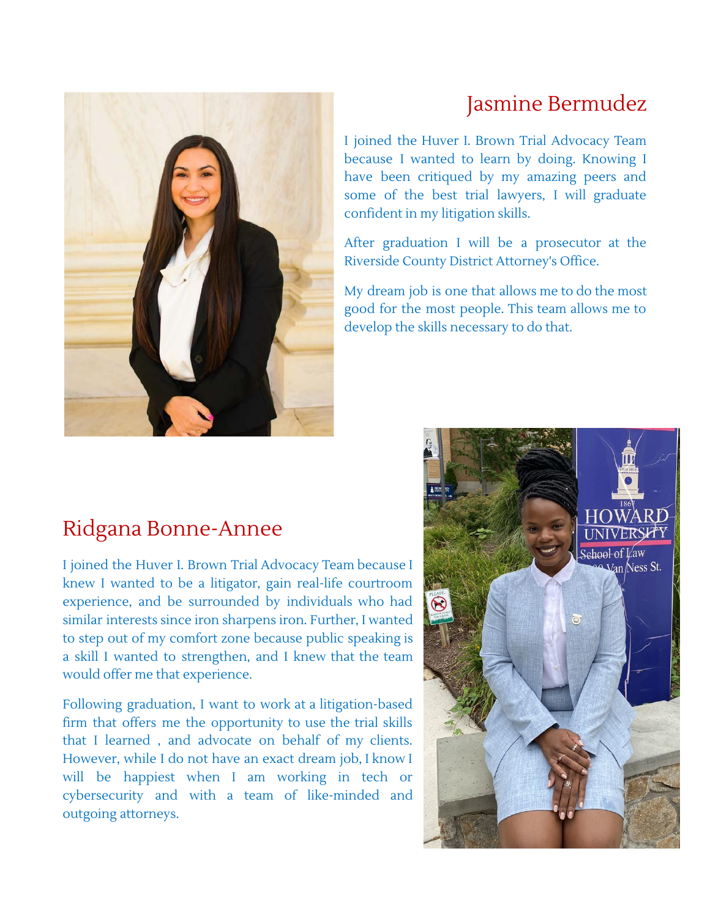## Jasmine Bermudez

I joined the Huver I. Brown Trial Advocacy Team because I wanted to learn by doing. Knowing I have been critiqued by my amazing peers and some of the best trial lawyers, I will graduate confident in my litigation skills.

After graduation I will be a prosecutor at the Riverside County District Attorney's Office.

My dream job is one that allows me to do the most good for the most people. This team allows me to develop the skills necessary to do that.

### Ridgana Bonne-Annee

I joined the Huver I. Brown Trial Advocacy Team because I knew I wanted to be a litigator, gain real-life courtroom experience, and be surrounded by individuals who had similar interests since iron sharpens iron. Further, I wanted to step out of my comfort zone because public speaking is a skill I wanted to strengthen, and I knew that the team would offer me that experience.

Following graduation, I want to work at a litigation-based firm that offers me the opportunity to use the trial skills that I learned , and advocate on behalf of my clients. However, while I do not have an exact dream job, I know I will be happiest when I am working in tech or cybersecurity and with a team of like-minded and outgoing attorneys.



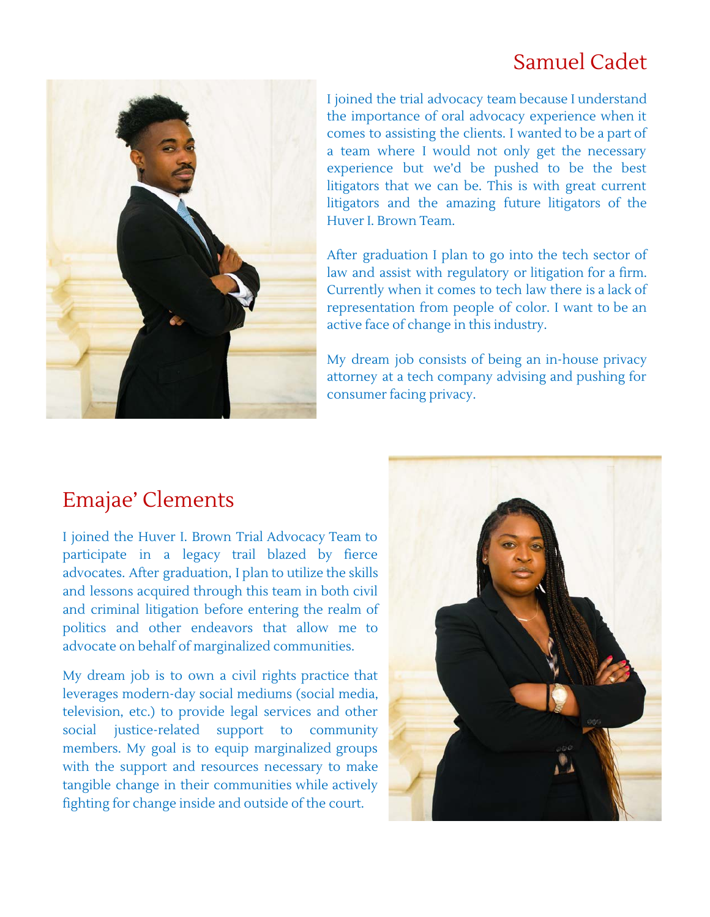## Samuel Cadet



I joined the trial advocacy team because I understand the importance of oral advocacy experience when it comes to assisting the clients. I wanted to be a part of a team where I would not only get the necessary experience but we'd be pushed to be the best litigators that we can be. This is with great current litigators and the amazing future litigators of the Huver I. Brown Team.

After graduation I plan to go into the tech sector of law and assist with regulatory or litigation for a firm. Currently when it comes to tech law there is a lack of representation from people of color. I want to be an active face of change in this industry.

My dream job consists of being an in-house privacy attorney at a tech company advising and pushing for consumer facing privacy.

### Emajae' Clements

I joined the Huver I. Brown Trial Advocacy Team to participate in a legacy trail blazed by fierce advocates. After graduation, I plan to utilize the skills and lessons acquired through this team in both civil and criminal litigation before entering the realm of politics and other endeavors that allow me to advocate on behalf of marginalized communities.

My dream job is to own a civil rights practice that leverages modern-day social mediums (social media, television, etc.) to provide legal services and other social justice-related support to community members. My goal is to equip marginalized groups with the support and resources necessary to make tangible change in their communities while actively fighting for change inside and outside of the court.

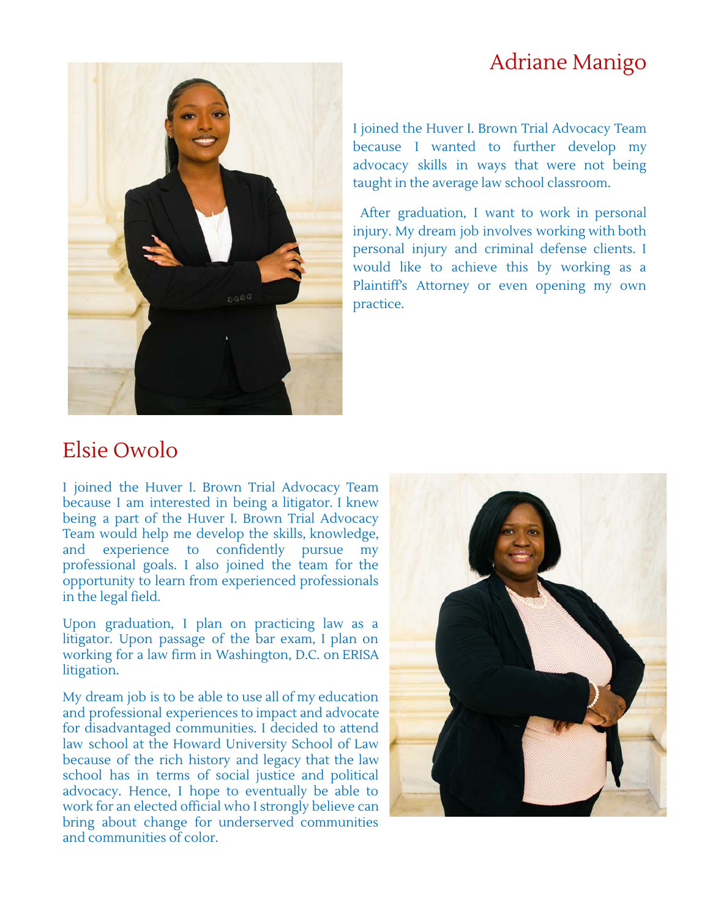#### Adriane Manigo



I joined the Huver I. Brown Trial Advocacy Team because I wanted to further develop my advocacy skills in ways that were not being taught in the average law school classroom.

After graduation, I want to work in personal injury. My dream job involves working with both personal injury and criminal defense clients. I would like to achieve this by working as a Plaintiff's Attorney or even opening my own practice.

#### Elsie Owolo

I joined the Huver I. Brown Trial Advocacy Team because I am interested in being a litigator. I knew being a part of the Huver I. Brown Trial Advocacy Team would help me develop the skills, knowledge, and experience to confidently pursue my professional goals. I also joined the team for the opportunity to learn from experienced professionals in the legal field.

Upon graduation, I plan on practicing law as a litigator. Upon passage of the bar exam, I plan on working for a law firm in Washington, D.C. on ERISA litigation.

My dream job is to be able to use all of my education and professional experiences to impact and advocate for disadvantaged communities. I decided to attend law school at the Howard University School of Law because of the rich history and legacy that the law school has in terms of social justice and political advocacy. Hence, I hope to eventually be able to work for an elected official who I strongly believe can bring about change for underserved communities and communities of color.